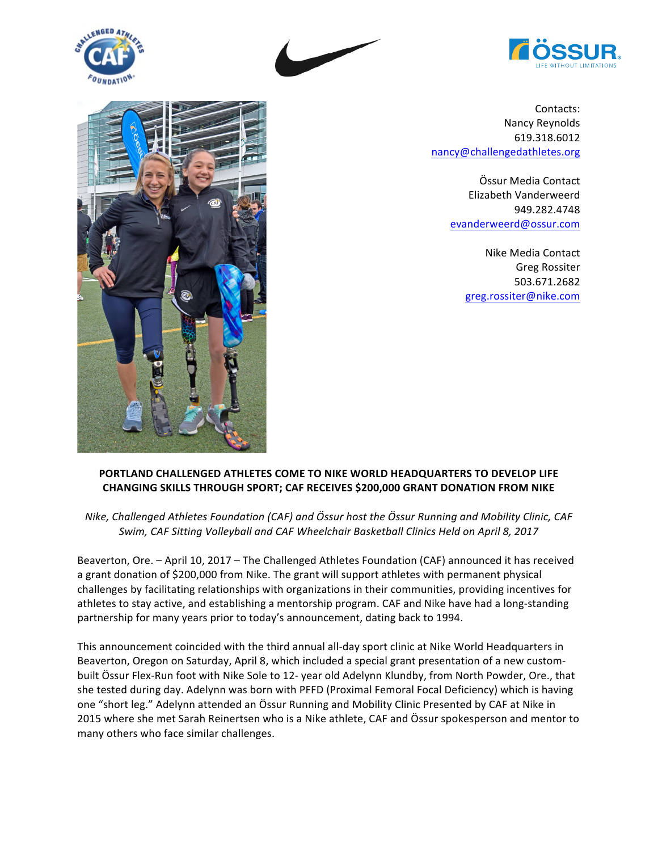





Contacts: Nancy Reynolds 619.318.6012 nancy@challengedathletes.org

> Össur Media Contact Elizabeth Vanderweerd 949.282.4748 evanderweerd@ossur.com

> > Nike Media Contact Greg Rossiter 503.671.2682 greg.rossiter@nike.com



## **PORTLAND CHALLENGED ATHLETES COME TO NIKE WORLD HEADQUARTERS TO DEVELOP LIFE CHANGING SKILLS THROUGH SPORT; CAF RECEIVES \$200,000 GRANT DONATION FROM NIKE**

*Nike,* Challenged Athletes Foundation (CAF) and Össur host the Össur Running and Mobility Clinic, CAF Swim, CAF Sitting Volleyball and CAF Wheelchair Basketball Clinics Held on April 8, 2017

Beaverton, Ore. - April 10, 2017 - The Challenged Athletes Foundation (CAF) announced it has received a grant donation of \$200,000 from Nike. The grant will support athletes with permanent physical challenges by facilitating relationships with organizations in their communities, providing incentives for athletes to stay active, and establishing a mentorship program. CAF and Nike have had a long-standing partnership for many years prior to today's announcement, dating back to 1994.

This announcement coincided with the third annual all-day sport clinic at Nike World Headquarters in Beaverton, Oregon on Saturday, April 8, which included a special grant presentation of a new custombuilt Össur Flex-Run foot with Nike Sole to 12- year old Adelynn Klundby, from North Powder, Ore., that she tested during day. Adelynn was born with PFFD (Proximal Femoral Focal Deficiency) which is having one "short leg." Adelynn attended an Össur Running and Mobility Clinic Presented by CAF at Nike in 2015 where she met Sarah Reinertsen who is a Nike athlete, CAF and Össur spokesperson and mentor to many others who face similar challenges.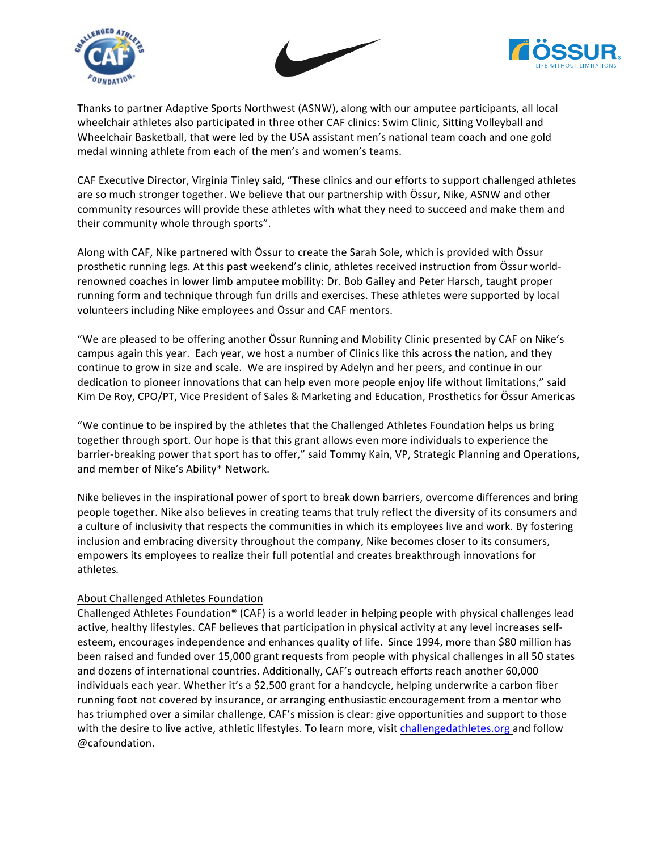





Thanks to partner Adaptive Sports Northwest (ASNW), along with our amputee participants, all local wheelchair athletes also participated in three other CAF clinics: Swim Clinic, Sitting Volleyball and Wheelchair Basketball, that were led by the USA assistant men's national team coach and one gold medal winning athlete from each of the men's and women's teams.

CAF Executive Director, Virginia Tinley said, "These clinics and our efforts to support challenged athletes are so much stronger together. We believe that our partnership with Össur, Nike, ASNW and other community resources will provide these athletes with what they need to succeed and make them and their community whole through sports".

Along with CAF, Nike partnered with Össur to create the Sarah Sole, which is provided with Össur prosthetic running legs. At this past weekend's clinic, athletes received instruction from Össur worldrenowned coaches in lower limb amputee mobility: Dr. Bob Gailey and Peter Harsch, taught proper running form and technique through fun drills and exercises. These athletes were supported by local volunteers including Nike employees and Össur and CAF mentors.

"We are pleased to be offering another Össur Running and Mobility Clinic presented by CAF on Nike's campus again this year. Each year, we host a number of Clinics like this across the nation, and they continue to grow in size and scale. We are inspired by Adelyn and her peers, and continue in our dedication to pioneer innovations that can help even more people enjoy life without limitations," said Kim De Roy, CPO/PT, Vice President of Sales & Marketing and Education, Prosthetics for Össur Americas

"We continue to be inspired by the athletes that the Challenged Athletes Foundation helps us bring together through sport. Our hope is that this grant allows even more individuals to experience the barrier-breaking power that sport has to offer," said Tommy Kain, VP, Strategic Planning and Operations, and member of Nike's Ability\* Network.

Nike believes in the inspirational power of sport to break down barriers, overcome differences and bring people together. Nike also believes in creating teams that truly reflect the diversity of its consumers and a culture of inclusivity that respects the communities in which its employees live and work. By fostering inclusion and embracing diversity throughout the company, Nike becomes closer to its consumers, empowers its employees to realize their full potential and creates breakthrough innovations for athletes*.*

## About Challenged Athletes Foundation

Challenged Athletes Foundation® (CAF) is a world leader in helping people with physical challenges lead active, healthy lifestyles. CAF believes that participation in physical activity at any level increases selfesteem, encourages independence and enhances quality of life. Since 1994, more than \$80 million has been raised and funded over 15,000 grant requests from people with physical challenges in all 50 states and dozens of international countries. Additionally, CAF's outreach efforts reach another 60,000 individuals each year. Whether it's a \$2,500 grant for a handcycle, helping underwrite a carbon fiber running foot not covered by insurance, or arranging enthusiastic encouragement from a mentor who has triumphed over a similar challenge, CAF's mission is clear: give opportunities and support to those with the desire to live active, athletic lifestyles. To learn more, visit challengedathletes.org and follow @cafoundation.